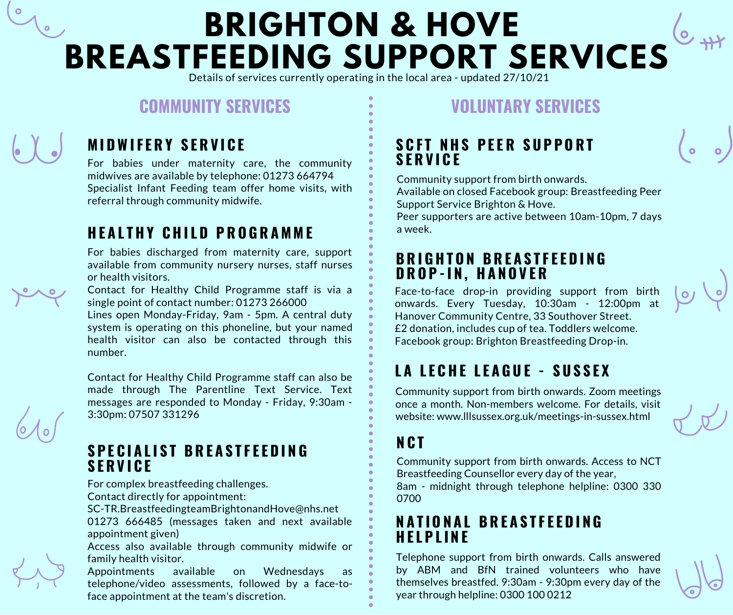# **BRIGHTON & HOVE BREASTFEEDING SUPPORT SERVICES**

Details of services currently operating in the local area - updated 27/10/21

# **COMMUNITY SERVICES VOLUNTARY SERVICES**



# **M I DWI F E R Y S E R V I C E**

For babies under maternity care, the community midwives are available by telephone: 01273 664794 Specialist Infant Feeding team offer home visits, with referral through community midwife.

### **H E A L T H Y C H I L D P R O G R A M M E**

For babies discharged from maternity care, support available from community nursery nurses, staff nurses or health visitors.

Contact for Healthy Child Programme staff is via a single point of contact number: 01273 266000

Lines open Monday-Friday, 9am - 5pm. A central duty system is operating on this phoneline, but your named health visitor can also be contacted through this number.

Contact for Healthy Child Programme staff can also be made through The Parentline Text Service. Text messages are responded to Monday - Friday, 9:30am - 3:30pm: 07507 331296

#### **S P E C I A L I S T B R E A S T F E E D I N G S E R V I C E**

For complex breastfeeding challenges.

Contact directly for appointment:

SC-TR.BreastfeedingteamBrightonandHove@nhs.net

01273 666485 (messages taken and next available appointment given)

Access also available through community midwife or family health visitor.

Appointments available on Wednesdays as telephone/video assessments, followed by a face-toface appointment at the team's discretion.

#### **S C F T N H S P E E R S U P P O R T S E R V I C E**

Community support from birth onwards.

Available on closed Facebook group: Breastfeeding Peer Support Service Brighton & Hove.

Peer supporters are active between 10am-10pm, 7 days a week.

### **B R I G H T O N B R E A S T F E E D I N G D R O P -I N , H A N O V E R**

Face-to-face drop-in providing support from birth onwards. Every Tuesday, 10:30am - 12:00pm at Hanover Community Centre, 33 Southover Street. £2 donation, includes cup of tea. Toddlers welcome. Facebook group: Brighton Breastfeeding Drop-in.

# **L A L E C H E L E A G U E - S U S S E X**

Community support from birth onwards. Zoom meetings once a month. Non-members welcome. For details, visit website: www.lllsussex.org.uk/meetings-in-sussex.html

# **N C T**

Community support from birth onwards. Access to NCT Breastfeeding Counsellor every day of the year, 8am - midnight through telephone helpline: 0300 330 0700

### **N A T I O N A L B R E A S T F E E D I N G H E L P L I N E**

Telephone support from birth onwards. Calls answered by ABM and BfN trained volunteers who have themselves breastfed. 9:30am - 9:30pm every day of the year through helpline: 0300 100 0212